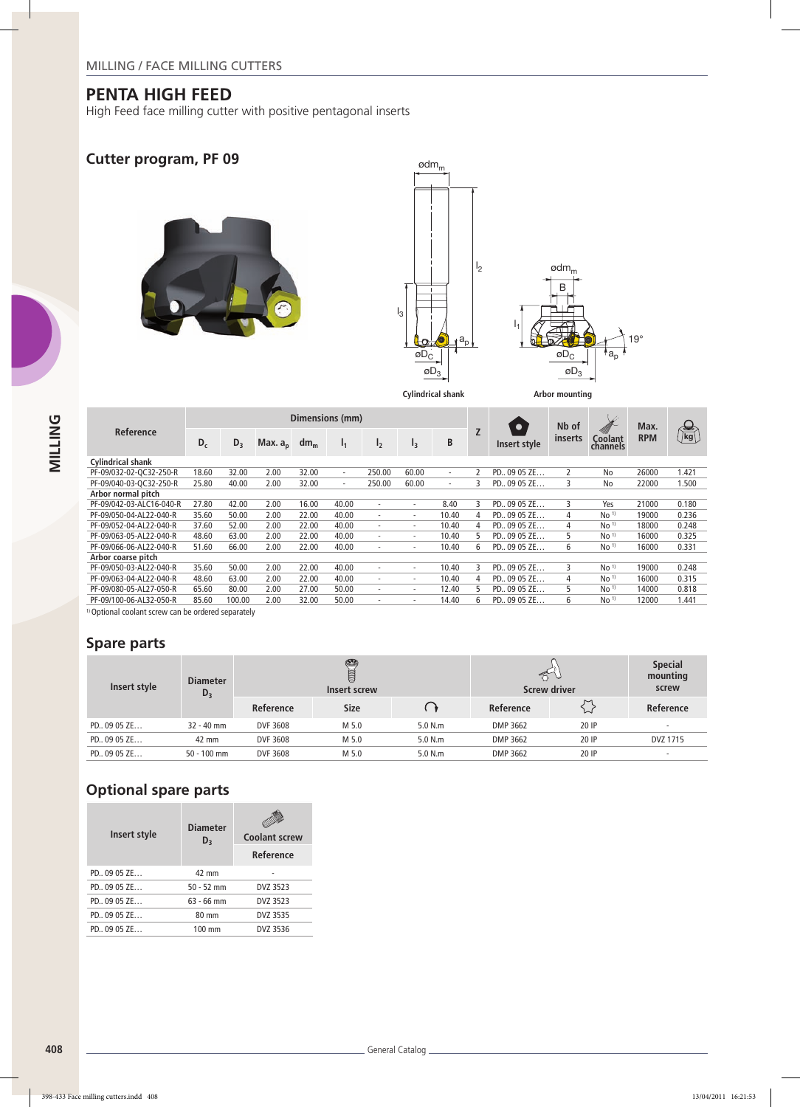High Feed face milling cutter with positive pentagonal inserts

## **Cutter program, PF 09**







|                          |       |        |            | Dimensions (mm) |                          |                |                          | $\bullet$                | Nb of          |               | Max.    |                     |            |                                                                 |
|--------------------------|-------|--------|------------|-----------------|--------------------------|----------------|--------------------------|--------------------------|----------------|---------------|---------|---------------------|------------|-----------------------------------------------------------------|
| Reference                | $D_c$ | $D_3$  | Max. $a_p$ | dm <sub>m</sub> | $I_1$                    | I <sub>2</sub> | $I_3$                    | B                        | $\overline{z}$ | Insert style  | inserts | Coolant<br>channels | <b>RPM</b> | $\begin{smallmatrix} \bigoplus \ \mathsf{kg} \end{smallmatrix}$ |
| <b>Cylindrical shank</b> |       |        |            |                 |                          |                |                          |                          |                |               |         |                     |            |                                                                 |
| PF-09/032-02-OC32-250-R  | 18.60 | 32.00  | 2.00       | 32.00           | $\overline{\phantom{0}}$ | 250.00         | 60.00                    | $\overline{\phantom{a}}$ | $\mathcal{P}$  | PD., 09 05 ZE | 2       | No                  | 26000      | 1.421                                                           |
| PF-09/040-03-OC32-250-R  | 25.80 | 40.00  | 2.00       | 32.00           | $\overline{\phantom{0}}$ | 250.00         | 60.00                    | $\sim$                   | 3              | PD., 09 05 ZE | 3       | No                  | 22000      | 1.500                                                           |
| Arbor normal pitch       |       |        |            |                 |                          |                |                          |                          |                |               |         |                     |            |                                                                 |
| PF-09/042-03-ALC16-040-R | 27.80 | 42.00  | 2.00       | 16.00           | 40.00                    | ٠              | ٠                        | 8.40                     | 3              | PD., 09 05 ZE | 3       | Yes                 | 21000      | 0.180                                                           |
| PF-09/050-04-AL22-040-R  | 35.60 | 50.00  | 2.00       | 22.00           | 40.00                    | ٠              | ٠                        | 10.40                    | 4              | PD., 09 05 ZE | 4       | No <sup>1</sup>     | 19000      | 0.236                                                           |
| PF-09/052-04-AL22-040-R  | 37.60 | 52.00  | 2.00       | 22.00           | 40.00                    | ٠              | ۰                        | 10.40                    | 4              | PD., 09 05 ZE | 4       | No <sup>1</sup>     | 18000      | 0.248                                                           |
| PF-09/063-05-AL22-040-R  | 48.60 | 63.00  | 2.00       | 22.00           | 40.00                    | ٠              | ٠                        | 10.40                    | 5.             | PD., 09 05 ZE | 5.      | No <sup>1</sup>     | 16000      | 0.325                                                           |
| PF-09/066-06-AL22-040-R  | 51.60 | 66.00  | 2.00       | 22.00           | 40.00                    | ٠              | $\overline{\phantom{a}}$ | 10.40                    | 6              | PD., 09 05 ZE | 6       | No <sup>1</sup>     | 16000      | 0.331                                                           |
| Arbor coarse pitch       |       |        |            |                 |                          |                |                          |                          |                |               |         |                     |            |                                                                 |
| PF-09/050-03-AL22-040-R  | 35.60 | 50.00  | 2.00       | 22.00           | 40.00                    | ٠              | ۰                        | 10.40                    | 3              | PD., 09 05 ZE | 3       | No <sup>1</sup>     | 19000      | 0.248                                                           |
| PF-09/063-04-AL22-040-R  | 48.60 | 63.00  | 2.00       | 22.00           | 40.00                    | ٠              | $\overline{\phantom{a}}$ | 10.40                    | 4              | PD., 09 05 ZE | 4       | No <sup>1</sup>     | 16000      | 0.315                                                           |
| PF-09/080-05-AL27-050-R  | 65.60 | 80.00  | 2.00       | 27.00           | 50.00                    | ٠              | $\overline{\phantom{a}}$ | 12.40                    | 5              | PD., 09 05 ZE | 5.      | No <sup>1</sup>     | 14000      | 0.818                                                           |
| PF-09/100-06-AL32-050-R  | 85.60 | 100.00 | 2.00       | 32.00           | 50.00                    | ٠              |                          | 14.40                    | 6              | PD., 09 05 ZE | 6       | No <sup>1</sup>     | 12000      | .441                                                            |

<sup>1)</sup> Optional coolant screw can be ordered separately

### **Spare parts**

| Insert style  | <b>Diameter</b><br>$D_3$ |           | ❤<br>U<br>Insert screw |         | $\approx$<br><b>Screw driver</b> | <b>Special</b><br>mounting<br>screw |                          |  |
|---------------|--------------------------|-----------|------------------------|---------|----------------------------------|-------------------------------------|--------------------------|--|
|               |                          | Reference | <b>Size</b>            |         | Reference                        | $\sim$<br>い                         | Reference                |  |
| PD., 09 05 ZE | $32 - 40$ mm             | DVF 3608  | M 5.0                  | 5.0 N.m | DMP 3662                         | 20 IP                               |                          |  |
| PD., 09 05 ZE | 42 mm                    | DVF 3608  | M 5.0                  | 5.0 N.m | DMP 3662                         | 20 IP                               | DVZ 1715                 |  |
| PD., 09 05 ZE | $50 - 100$ mm            | DVF 3608  | M 5.0                  | 5.0 N.m | DMP 3662                         | 20 IP                               | $\overline{\phantom{a}}$ |  |

## **Optional spare parts**

| Insert style  | <b>Diameter</b><br>$D_3$ | <b>Coolant screw</b> |  |  |  |  |  |
|---------------|--------------------------|----------------------|--|--|--|--|--|
|               |                          | Reference            |  |  |  |  |  |
| PD., 09 05 ZE | 42 mm                    |                      |  |  |  |  |  |
| PD., 09 05 ZE | $50 - 52$ mm             | DVZ 3523             |  |  |  |  |  |
| PD., 09 05 ZE | $63 - 66$ mm             | DVZ 3523             |  |  |  |  |  |
| PD., 09 05 ZE | 80 mm                    | DVZ 3535             |  |  |  |  |  |
| PD., 09 05 ZE | 100 mm                   | DVZ 3536             |  |  |  |  |  |
|               |                          |                      |  |  |  |  |  |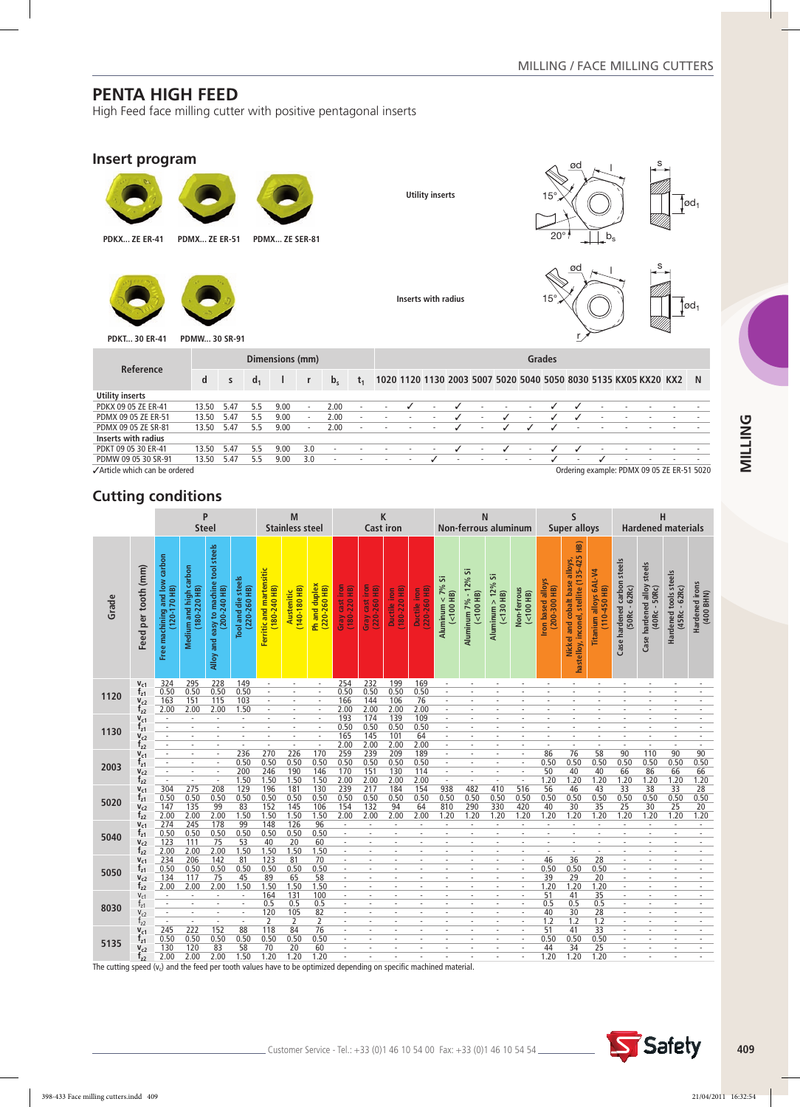High Feed face milling cutter with positive pentagonal inserts

#### **Insert program**



Ordering example: PDMX 09 05 ZE ER-51 5020

## **Cutting conditions**

|       |                             | P<br><b>Steel</b>                            |                                       |                                                         | M<br><b>Stainless steel</b>          |                                             |                                | K<br><b>Cast iron</b>             |                                               |                                     | N<br>Non-ferrous aluminum   |                            |                               |                                          | S<br><b>Super alloys</b>            |                            |                                     | н<br><b>Hardened materials</b>                                                          |                                                    |                                                   |                                                   |                                          |                             |
|-------|-----------------------------|----------------------------------------------|---------------------------------------|---------------------------------------------------------|--------------------------------------|---------------------------------------------|--------------------------------|-----------------------------------|-----------------------------------------------|-------------------------------------|-----------------------------|----------------------------|-------------------------------|------------------------------------------|-------------------------------------|----------------------------|-------------------------------------|-----------------------------------------------------------------------------------------|----------------------------------------------------|---------------------------------------------------|---------------------------------------------------|------------------------------------------|-----------------------------|
|       |                             |                                              |                                       |                                                         |                                      |                                             |                                |                                   |                                               |                                     |                             |                            |                               |                                          |                                     |                            |                                     |                                                                                         |                                                    |                                                   |                                                   |                                          |                             |
| Grade | Feed per tooth (mm)         | Free machining and low carbon<br>120-170 HB) | Medium and high carbon<br>180-220 HB) | and easy to machine tool steels<br>200-240 HB)<br>Alloy | Tool and die steels<br>(e<br>220-260 | Ferritic and martensitic<br>$(180 - 240$ HB | $(140 - 180$ HB)<br>Austenitic | Ph and duplex<br>$(220 - 260$ HB) | cast iron<br>- Gray cast п'он<br>(180-220 HB) | cast iron<br>$(220-260$ HB)<br>Velp | 180-220 HB)<br>Ductile iron | Ductile iron<br>220-260 HB | Aluminum $<$ 7% Si<br>(100 H) | $-12%$ Si<br>$($ <100 HB)<br>Aluminum 7% | Aluminum > $12\%$ Si<br>$(<130$ HB) | Non-ferrous<br>$(<100$ HB) | Iron based alloys<br>$(200-300$ HB) | 9<br>全<br>$(135-425)$<br>Nickel and cobalt base alloys,<br>hastelloy, inconel, stellite | Titanium alloys 6AL-V4<br>$\widehat{H}$<br>110-450 | Case hardened carbon steels<br>62Rc)<br>$(50Rc -$ | steels<br>Case hardened alloy<br>50Rc)<br>(40Rc - | Hardened tools steels<br>$(45Rc - 62Rc)$ | Hardened irons<br>(400 BHN) |
|       | $V_{c1}$                    | 324<br>0.50                                  | 295<br>0.50                           | 228<br>0.50                                             | 149<br>0.50                          | $\overline{\phantom{a}}$<br>$\bar{a}$       | $\overline{\phantom{a}}$       | $\sim$                            | 254<br>0.50                                   | 232<br>0.50                         | 199<br>0.50                 | 169<br>0.50                | $\sim$                        |                                          |                                     |                            |                                     |                                                                                         |                                                    |                                                   |                                                   |                                          |                             |
| 1120  | $t_{z1}$<br>$V_{c2}$        | 163                                          | 151                                   | 115                                                     | 103                                  |                                             |                                |                                   | 166                                           | 144                                 | 106                         | 76                         | $\sim$                        |                                          |                                     |                            |                                     |                                                                                         |                                                    |                                                   |                                                   |                                          |                             |
|       | $t_{22}$                    | 2.00                                         | 2.00                                  | 2.00                                                    | 1.50                                 |                                             |                                |                                   | 2.00                                          | 2.00                                | 2.00                        | 2.00                       |                               |                                          |                                     |                            |                                     |                                                                                         |                                                    |                                                   |                                                   |                                          |                             |
|       | $V_{c1}$                    | $\sim$                                       | $\sim$                                |                                                         | $\sim$                               |                                             |                                |                                   | 193                                           | 174                                 | 139                         | 109                        | ÷,                            |                                          |                                     |                            |                                     |                                                                                         |                                                    |                                                   |                                                   |                                          |                             |
| 1130  | $T_{z1}$                    |                                              |                                       |                                                         |                                      |                                             |                                |                                   | 0.50                                          | 0.50                                | 0.50                        | 0.50                       |                               |                                          |                                     |                            |                                     |                                                                                         |                                                    |                                                   |                                                   |                                          |                             |
|       | $V_{c2}$                    | $\sim$                                       | ٠                                     | $\overline{\phantom{a}}$                                | $\sim$                               | ÷                                           | $\sim$                         | $\sim$                            | 165                                           | 145                                 | 101                         | 64                         | ۰.                            | ٠                                        |                                     | $\sim$                     |                                     | ٠                                                                                       |                                                    | $\overline{\phantom{a}}$                          | ٠                                                 | ٠                                        |                             |
|       | $t_{z2}$                    | ÷                                            |                                       |                                                         | $\sim$                               | $\overline{a}$                              | $\omega$                       | ÷.                                | 2.00                                          | 2.00                                | 2.00                        | 2.00                       | ۰.                            |                                          |                                     |                            |                                     | ٠                                                                                       |                                                    | $\overline{a}$                                    |                                                   | $\sim$                                   |                             |
|       | $V_{c1}$                    | ÷.                                           | ٠                                     | ٠                                                       | 236<br>0.50                          | 270<br>0.50                                 | 226<br>0.50                    | 170<br>0.50                       | 259<br>0.50                                   | 239<br>0.50                         | 209<br>0.50                 | 189<br>0.50                | $\sim$<br>$\sim$              | ٠                                        |                                     | $\sim$<br>$\sim$           | 86<br>0.50                          | 76<br>0.50                                                                              | $\overline{58}$<br>0.50                            | 90<br>0.50                                        | 110<br>0.50                                       | 90<br>0.50                               | 90<br>0.50                  |
| 2003  | $f_{21}$<br>$V_{c2}$        | ٠                                            | $\bar{a}$                             | ÷                                                       | 200                                  | 246                                         | 190                            | 146                               | 170                                           | 151                                 | 130                         | 114                        | $\sim$                        | ٠                                        |                                     | ÷                          | 50                                  | 40                                                                                      | 40                                                 | 66                                                | 86                                                | 66                                       | 66                          |
|       | $f_{z2}$                    | ÷.                                           | $\sim$                                | $\overline{\phantom{a}}$                                | 1.50                                 | 1.50                                        | 1.50                           | 1.50                              | 2.00                                          | 2.00                                | 2.00                        | 2.00                       | $\overline{\phantom{a}}$      | $\sim$                                   |                                     | $\overline{\phantom{a}}$   | 1.20                                | 1.20                                                                                    | 1.20                                               | 1.20                                              | 1.20                                              | 1.20                                     | 1.20                        |
|       | $V_{c1}$                    | 304                                          | 275                                   | 208                                                     | 129                                  | 196                                         | 181                            | 130                               | 239                                           | 217                                 | 184                         | 154                        | 938                           | 482                                      | 410                                 | 516                        | 56                                  | 46                                                                                      | 43                                                 | 33                                                | 38                                                | 33                                       | 28                          |
| 5020  | $t_{z1}$                    | 0.50                                         | 0.50                                  | 0.50                                                    | 0.50                                 | 0.50                                        | 0.50                           | 0.50                              | 0.50                                          | 0.50                                | 0.50                        | 0.50                       | 0.50                          | 0.50                                     | 0.50                                | 0.50                       | 0.50                                | 0.50                                                                                    | 0.50                                               | 0.50                                              | 0.50                                              | 0.50                                     | 0.50                        |
|       | $V_{c2}$                    | 147                                          | 135                                   | 99                                                      | 83                                   | 152                                         | $\frac{145}{1.50}$             | 106                               | 154                                           | 132                                 | 94                          | 64                         | 810                           | 290                                      | 330                                 | 420                        | 40                                  | 30                                                                                      | 35                                                 | 25                                                | 30                                                | 25                                       | 20                          |
|       | $t_{22}$                    | 2.00                                         | 2.00                                  | 2.00                                                    | 1.50                                 | 1.50                                        |                                | 1.50                              | 2.00                                          | 2.00                                | 2.00                        | 2.00                       | 1.20                          | 1.20                                     | 1.20                                | 1.20                       | 1.20                                | 1.20                                                                                    | 1.20                                               | 1.20                                              | 1.20                                              | 1.20                                     | 1.20                        |
|       | $V_{c1}$                    | 274                                          | 245                                   | 178                                                     | 99                                   | 148                                         | 126                            | 96                                | $\sim$                                        | $\sim$                              | $\sim$                      | $\overline{\phantom{a}}$   | $\overline{\phantom{a}}$      | $\sim$                                   | ٠                                   | $\overline{\phantom{a}}$   | ÷                                   | ٠                                                                                       |                                                    | $\sim$                                            | $\sim$                                            | $\sim$                                   | $\sim$                      |
| 5040  | $T_{Z1}$                    | 0.50                                         | 0.50                                  | 0.50                                                    | 0.50                                 | 0.50                                        | 0.50                           | 0.50                              | $\sim$                                        | ÷.                                  | $\sim$                      | $\sim$                     | $\sim$                        | ÷                                        | $\sim$                              | $\sim$                     | ÷                                   | $\sim$                                                                                  | ÷.                                                 | $\sim$                                            | ÷                                                 | $\sim$                                   | $\sim$                      |
|       | V <sub>c2</sub><br>$t_{22}$ | 123<br>2.00                                  | 111<br>2.00                           | 75<br>2.00                                              | 53<br>1.50                           | 40<br>1.50                                  | 20<br>1.50                     | 60<br>1.50                        | $\overline{\phantom{a}}$<br>÷,                |                                     | ٠<br>÷,                     |                            |                               |                                          |                                     |                            |                                     | ä,                                                                                      |                                                    | $\overline{a}$                                    |                                                   | $\overline{\phantom{a}}$                 | $\sim$                      |
|       | $V_{c1}$                    | 234                                          | 206                                   | 142                                                     | 81                                   | 123                                         | 81                             | 70                                | $\sim$                                        |                                     |                             |                            |                               |                                          |                                     | $\overline{\phantom{a}}$   | 46                                  | 36                                                                                      | 28                                                 | ÷                                                 |                                                   |                                          |                             |
|       | $I_{z1}$                    | 0.50                                         | 0.50                                  | 0.50                                                    | 0.50                                 | 0.50                                        | 0.50                           | 0.50                              | $\blacksquare$                                | ÷                                   |                             |                            |                               |                                          |                                     | $\overline{\phantom{a}}$   | 0.50                                | 0.50                                                                                    | 0.50                                               | $\sim$                                            |                                                   |                                          |                             |
| 5050  | $V_{c2}$                    | 134                                          | 117                                   | 75                                                      | 45                                   | 89                                          | 65                             | 58                                | ÷.                                            |                                     |                             |                            |                               |                                          |                                     | $\sim$                     | 39                                  | 29                                                                                      | 20                                                 | $\overline{\phantom{a}}$                          |                                                   |                                          |                             |
|       | $f_{22}$                    | 2.00                                         | 2.00                                  | 2.00                                                    | 1.50                                 | 1.50                                        | 1.50                           | 1.50                              |                                               |                                     |                             |                            |                               |                                          |                                     |                            | 1.20                                | 1.20                                                                                    | 1.20                                               |                                                   |                                                   |                                          |                             |
|       | $V_{c1}$                    | ٠                                            |                                       |                                                         | $\sim$                               | 164                                         | 131                            | 100                               | ÷                                             |                                     |                             |                            |                               |                                          |                                     |                            | 51                                  | 41                                                                                      | 35                                                 | ÷,                                                |                                                   |                                          |                             |
| 8030  | $I_{21}$                    | $\sim$                                       | ÷                                     |                                                         | $\overline{\phantom{a}}$             | 0.5                                         | 0.5                            | 0.5                               | $\sim$                                        |                                     |                             |                            |                               |                                          |                                     | $\sim$                     | 0.5                                 | 0.5                                                                                     | 0.5                                                | $\overline{a}$                                    |                                                   |                                          | ÷.                          |
|       | $V_{c2}$                    | $\sim$                                       | $\sim$                                | ٠                                                       | $\overline{\phantom{a}}$             | 120                                         | 105                            | 82                                | $\sim$<br>÷.                                  | ٠                                   | $\overline{\phantom{a}}$    | ÷                          | $\overline{\phantom{a}}$      | ٠                                        |                                     | $\sim$                     | 40                                  | 30                                                                                      | 28                                                 | $\sim$                                            | $\overline{\phantom{a}}$                          | ٠                                        | $\sim$                      |
|       | $t_{z2}$                    | $\sim$                                       | $\omega$                              | $\sim$                                                  | $\sim$                               | 2                                           | 2                              | 2                                 |                                               |                                     | $\sim$                      |                            | <u>. .</u>                    |                                          |                                     | $\sim$                     | 1.2                                 | 1.2                                                                                     | 1.2                                                | $\sim$                                            |                                                   | н.                                       | з.                          |
|       |                             |                                              |                                       |                                                         |                                      |                                             |                                |                                   |                                               |                                     |                             |                            |                               |                                          |                                     |                            |                                     |                                                                                         |                                                    |                                                   |                                                   |                                          |                             |
|       | $V_{c1}$                    | 245                                          | 222                                   | 152                                                     | 88                                   | 118                                         | 84                             | 76                                | $\sim$                                        | ٠                                   | ٠                           |                            |                               | ٠                                        |                                     | $\sim$                     | 51                                  | 41                                                                                      | 33                                                 | $\sim$                                            |                                                   | $\overline{\phantom{a}}$                 | $\sim$                      |
| 5135  | $t_{z1}$<br>$V_{c2}$        | 0.50<br>130                                  | 0.50<br>120                           | 0.50<br>83                                              | 0.50<br>58                           | 0.50<br>70                                  | 0.50<br>20                     | 0.50<br>60                        | ä,                                            |                                     |                             |                            |                               |                                          |                                     |                            | 0.50<br>44                          | 0.50<br>34                                                                              | 0.50<br>25                                         | ä,                                                |                                                   |                                          |                             |

The cutting speed ( $v_c$ ) and the feed per tooth values have to be optimized depending on specific machined material.

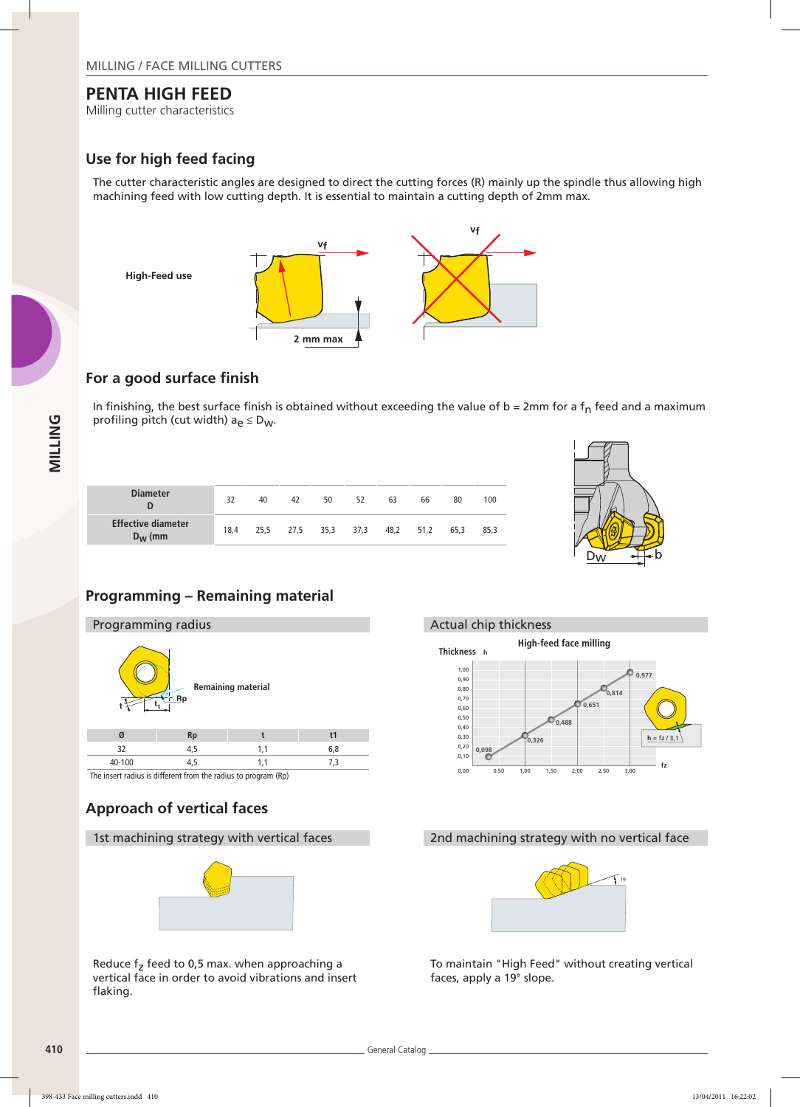Milling cutter characteristics

## **Use for high feed facing**

The cutter characteristic angles are designed to direct the cutting forces (R) mainly up the spindle thus allowing high machining feed with low cutting depth. It is essential to maintain a cutting depth of 2mm max.



#### **For a good surface finish**

In finishing, the best surface finish is obtained without exceeding the value of  $b = 2mm$  for a  $f<sub>n</sub>$  feed and a maximum profiling pitch (cut width)  $a_e \leq D_W$ .

| <b>Diameter</b><br>D                              | 32   | 40 | 42                       | 50 | 52 | 63 | 66   | 80   | 100  |
|---------------------------------------------------|------|----|--------------------------|----|----|----|------|------|------|
| <b>Effective diameter</b><br>$D_{\mathbf{W}}$ (mm | 18.4 |    | 25,5 27,5 35,3 37,3 48,2 |    |    |    | 51,2 | 65.3 | 85.3 |



## **Programming – Remaining material**



The insert radius is different from the radius to program (Rp)

## **Approach of vertical faces**



Reduce  $f<sub>z</sub>$  feed to 0,5 max. when approaching a vertical face in order to avoid vibrations and insert flaking.



#### 1st machining strategy with vertical faces 2nd machining strategy with no vertical face



To maintain "High Feed" without creating vertical faces, apply a 19° slope.

**MILLING**